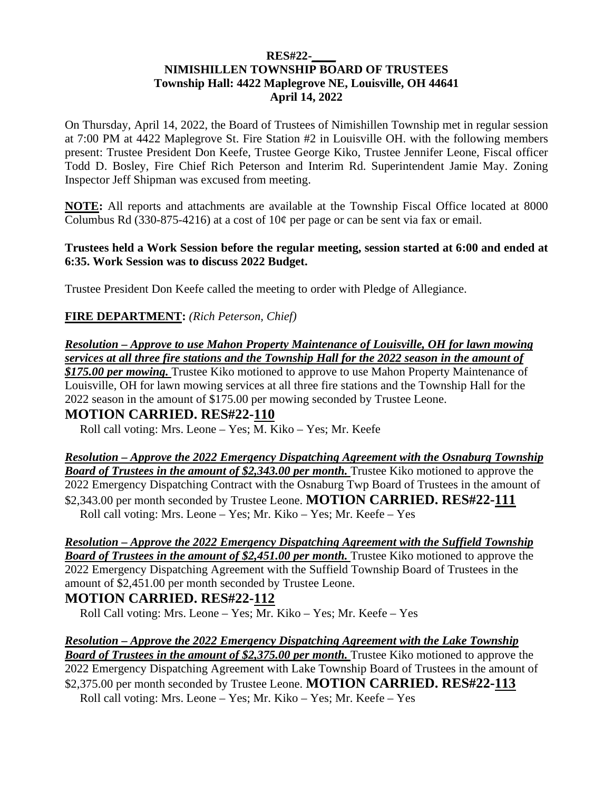### **RES#22-\_\_\_\_ NIMISHILLEN TOWNSHIP BOARD OF TRUSTEES Township Hall: 4422 Maplegrove NE, Louisville, OH 44641 April 14, 2022**

On Thursday, April 14, 2022, the Board of Trustees of Nimishillen Township met in regular session at 7:00 PM at 4422 Maplegrove St. Fire Station #2 in Louisville OH. with the following members present: Trustee President Don Keefe, Trustee George Kiko, Trustee Jennifer Leone, Fiscal officer Todd D. Bosley, Fire Chief Rich Peterson and Interim Rd. Superintendent Jamie May. Zoning Inspector Jeff Shipman was excused from meeting.

**NOTE:** All reports and attachments are available at the Township Fiscal Office located at 8000 Columbus Rd (330-875-4216) at a cost of  $10¢$  per page or can be sent via fax or email.

### **Trustees held a Work Session before the regular meeting, session started at 6:00 and ended at 6:35. Work Session was to discuss 2022 Budget.**

Trustee President Don Keefe called the meeting to order with Pledge of Allegiance.

### **FIRE DEPARTMENT:** *(Rich Peterson, Chief)*

*Resolution – Approve to use Mahon Property Maintenance of Louisville, OH for lawn mowing services at all three fire stations and the Township Hall for the 2022 season in the amount of \$175.00 per mowing.* Trustee Kiko motioned to approve to use Mahon Property Maintenance of

Louisville, OH for lawn mowing services at all three fire stations and the Township Hall for the 2022 season in the amount of \$175.00 per mowing seconded by Trustee Leone.

# **MOTION CARRIED. RES#22-110**

Roll call voting: Mrs. Leone – Yes; M. Kiko – Yes; Mr. Keefe

*Resolution – Approve the 2022 Emergency Dispatching Agreement with the Osnaburg Township*  **Board of Trustees in the amount of \$2,343.00 per month.** Trustee Kiko motioned to approve the 2022 Emergency Dispatching Contract with the Osnaburg Twp Board of Trustees in the amount of \$2,343.00 per month seconded by Trustee Leone. **MOTION CARRIED. RES#22-111** Roll call voting: Mrs. Leone – Yes; Mr. Kiko – Yes; Mr. Keefe – Yes

#### *Resolution – Approve the 2022 Emergency Dispatching Agreement with the Suffield Township Board of Trustees in the amount of \$2,451.00 per month.* Trustee Kiko motioned to approve the

2022 Emergency Dispatching Agreement with the Suffield Township Board of Trustees in the amount of \$2,451.00 per month seconded by Trustee Leone.

# **MOTION CARRIED. RES#22-112**

Roll Call voting: Mrs. Leone – Yes;  $\overline{Mr}$ . Kiko – Yes; Mr. Keefe – Yes

## *Resolution – Approve the 2022 Emergency Dispatching Agreement with the Lake Township*

*Board of Trustees in the amount of \$2,375.00 per month.* Trustee Kiko motioned to approve the 2022 Emergency Dispatching Agreement with Lake Township Board of Trustees in the amount of \$2,375.00 per month seconded by Trustee Leone. **MOTION CARRIED. RES#22-113**  Roll call voting: Mrs. Leone – Yes; Mr. Kiko – Yes; Mr. Keefe – Yes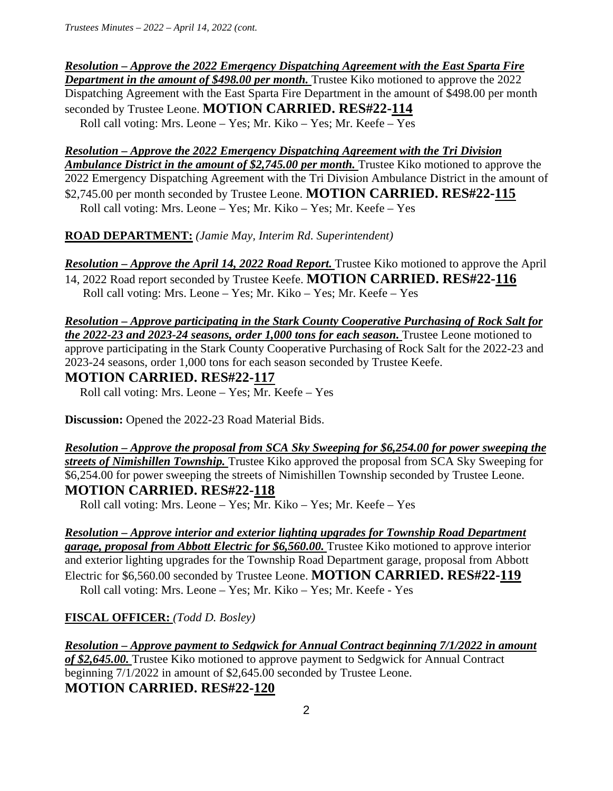*Resolution – Approve the 2022 Emergency Dispatching Agreement with the East Sparta Fire Department in the amount of \$498.00 per month.* Trustee Kiko motioned to approve the 2022 Dispatching Agreement with the East Sparta Fire Department in the amount of \$498.00 per month seconded by Trustee Leone. **MOTION CARRIED. RES#22-114**  Roll call voting: Mrs. Leone – Yes; Mr. Kiko – Yes; Mr. Keefe – Yes

### *Resolution – Approve the 2022 Emergency Dispatching Agreement with the Tri Division*

*Ambulance District in the amount of \$2,745.00 per month.* Trustee Kiko motioned to approve the 2022 Emergency Dispatching Agreement with the Tri Division Ambulance District in the amount of \$2,745.00 per month seconded by Trustee Leone. **MOTION CARRIED. RES#22-115**  Roll call voting: Mrs. Leone – Yes; Mr. Kiko – Yes; Mr. Keefe – Yes

**ROAD DEPARTMENT:** *(Jamie May, Interim Rd. Superintendent)*

*Resolution – Approve the April 14, 2022 Road Report.* Trustee Kiko motioned to approve the April

14, 2022 Road report seconded by Trustee Keefe. **MOTION CARRIED. RES#22-116**  Roll call voting: Mrs. Leone – Yes; Mr. Kiko – Yes; Mr. Keefe – Yes

*Resolution – Approve participating in the Stark County Cooperative Purchasing of Rock Salt for the 2022-23 and 2023-24 seasons, order 1,000 tons for each season.* Trustee Leone motioned to approve participating in the Stark County Cooperative Purchasing of Rock Salt for the 2022-23 and 2023-24 seasons, order 1,000 tons for each season seconded by Trustee Keefe.

## **MOTION CARRIED. RES#22-117**

Roll call voting: Mrs. Leone – Yes; Mr. Keefe – Yes

**Discussion:** Opened the 2022-23 Road Material Bids.

*Resolution – Approve the proposal from SCA Sky Sweeping for \$6,254.00 for power sweeping the streets of Nimishillen Township.* Trustee Kiko approved the proposal from SCA Sky Sweeping for \$6,254.00 for power sweeping the streets of Nimishillen Township seconded by Trustee Leone. **MOTION CARRIED. RES#22-118** 

Roll call voting: Mrs. Leone – Yes; Mr. Kiko – Yes; Mr. Keefe – Yes

*Resolution – Approve interior and exterior lighting upgrades for Township Road Department garage, proposal from Abbott Electric for \$6,560.00.* Trustee Kiko motioned to approve interior and exterior lighting upgrades for the Township Road Department garage, proposal from Abbott Electric for \$6,560.00 seconded by Trustee Leone. **MOTION CARRIED. RES#22-119**  Roll call voting: Mrs. Leone – Yes; Mr. Kiko – Yes; Mr. Keefe - Yes

**FISCAL OFFICER:** *(Todd D. Bosley)* 

*Resolution – Approve payment to Sedgwick for Annual Contract beginning 7/1/2022 in amount of \$2,645.00.* Trustee Kiko motioned to approve payment to Sedgwick for Annual Contract beginning 7/1/2022 in amount of \$2,645.00 seconded by Trustee Leone. **MOTION CARRIED. RES#22-120**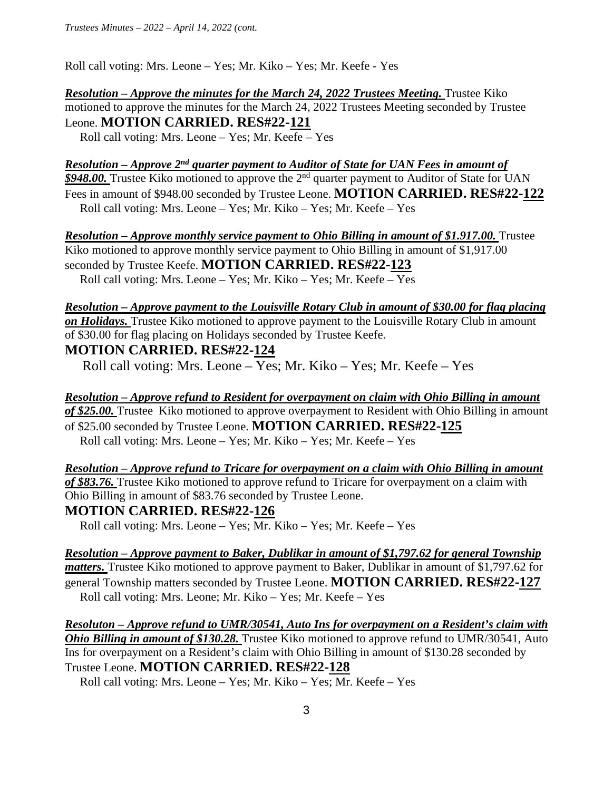Roll call voting: Mrs. Leone – Yes; Mr. Kiko – Yes; Mr. Keefe - Yes

*Resolution – Approve the minutes for the March 24, 2022 Trustees Meeting. Trustee Kiko* motioned to approve the minutes for the March 24, 2022 Trustees Meeting seconded by Trustee Leone. **MOTION CARRIED. RES#22-121**

Roll call voting: Mrs. Leone – Yes; Mr. Keefe – Yes

*Resolution – Approve 2nd quarter payment to Auditor of State for UAN Fees in amount of \$948.00.* Trustee Kiko motioned to approve the 2nd quarter payment to Auditor of State for UAN Fees in amount of \$948.00 seconded by Trustee Leone. **MOTION CARRIED. RES#22-122** Roll call voting: Mrs. Leone – Yes; Mr. Kiko – Yes; Mr. Keefe – Yes

*Resolution – Approve monthly service payment to Ohio Billing in amount of \$1.917.00.* Trustee Kiko motioned to approve monthly service payment to Ohio Billing in amount of \$1,917.00 seconded by Trustee Keefe. **MOTION CARRIED. RES#22-123**  Roll call voting: Mrs. Leone – Yes; Mr. Kiko – Yes; Mr. Keefe – Yes

*Resolution – Approve payment to the Louisville Rotary Club in amount of \$30.00 for flag placing on Holidays.* Trustee Kiko motioned to approve payment to the Louisville Rotary Club in amount of \$30.00 for flag placing on Holidays seconded by Trustee Keefe.

#### **MOTION CARRIED. RES#22-124**

Roll call voting: Mrs. Leone – Yes; Mr. Kiko – Yes; Mr. Keefe – Yes

*Resolution – Approve refund to Resident for overpayment on claim with Ohio Billing in amount of \$25.00.* Trustee Kiko motioned to approve overpayment to Resident with Ohio Billing in amount of \$25.00 seconded by Trustee Leone. **MOTION CARRIED. RES#22-125**  Roll call voting: Mrs. Leone – Yes; Mr. Kiko – Yes; Mr. Keefe – Yes

*Resolution – Approve refund to Tricare for overpayment on a claim with Ohio Billing in amount of \$83.76.* Trustee Kiko motioned to approve refund to Tricare for overpayment on a claim with Ohio Billing in amount of \$83.76 seconded by Trustee Leone.

**MOTION CARRIED. RES#22-126** 

Roll call voting: Mrs. Leone – Yes; Mr. Kiko – Yes; Mr. Keefe – Yes

*Resolution – Approve payment to Baker, Dublikar in amount of \$1,797.62 for general Township matters.* Trustee Kiko motioned to approve payment to Baker, Dublikar in amount of \$1,797.62 for general Township matters seconded by Trustee Leone. **MOTION CARRIED. RES#22-127**  Roll call voting: Mrs. Leone; Mr. Kiko – Yes; Mr. Keefe – Yes

*Resoluton – Approve refund to UMR/30541, Auto Ins for overpayment on a Resident's claim with Ohio Billing in amount of \$130.28.* Trustee Kiko motioned to approve refund to UMR/30541. Auto Ins for overpayment on a Resident's claim with Ohio Billing in amount of \$130.28 seconded by Trustee Leone. **MOTION CARRIED. RES#22-128** 

Roll call voting: Mrs. Leone – Yes; Mr. Kiko – Yes; Mr. Keefe – Yes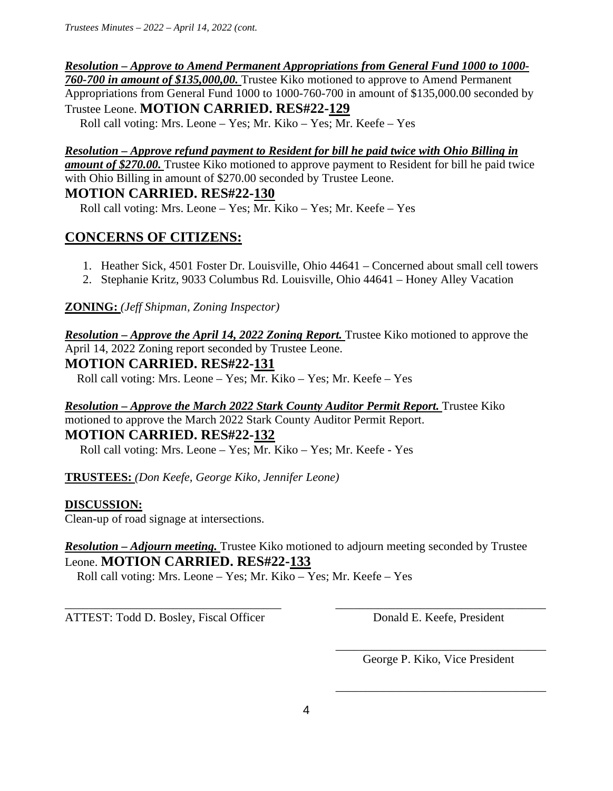# *Resolution – Approve to Amend Permanent Appropriations from General Fund 1000 to 1000-*

*760-700 in amount of \$135,000,00.* Trustee Kiko motioned to approve to Amend Permanent Appropriations from General Fund 1000 to 1000-760-700 in amount of \$135,000.00 seconded by Trustee Leone. **MOTION CARRIED. RES#22-129** 

Roll call voting: Mrs. Leone – Yes; Mr. Kiko – Yes; Mr. Keefe – Yes

# *Resolution – Approve refund payment to Resident for bill he paid twice with Ohio Billing in*

*amount of \$270.00.* Trustee Kiko motioned to approve payment to Resident for bill he paid twice with Ohio Billing in amount of \$270.00 seconded by Trustee Leone.

## **MOTION CARRIED. RES#22-130**

Roll call voting: Mrs. Leone – Yes; Mr. Kiko – Yes; Mr. Keefe – Yes

# **CONCERNS OF CITIZENS:**

- 1. Heather Sick, 4501 Foster Dr. Louisville, Ohio 44641 Concerned about small cell towers
- 2. Stephanie Kritz, 9033 Columbus Rd. Louisville, Ohio 44641 Honey Alley Vacation

# **ZONING:** *(Jeff Shipman, Zoning Inspector)*

*Resolution – Approve the April 14, 2022 Zoning Report.* Trustee Kiko motioned to approve the April 14, 2022 Zoning report seconded by Trustee Leone.

# **MOTION CARRIED. RES#22-131**

Roll call voting: Mrs. Leone – Yes; Mr. Kiko – Yes; Mr. Keefe – Yes

# *Resolution – Approve the March 2022 Stark County Auditor Permit Report. Trustee Kiko* motioned to approve the March 2022 Stark County Auditor Permit Report. **MOTION CARRIED. RES#22-132**

Roll call voting: Mrs. Leone – Yes; Mr. Kiko – Yes; Mr. Keefe - Yes

**TRUSTEES:** *(Don Keefe, George Kiko, Jennifer Leone)* 

## **DISCUSSION:**

Clean-up of road signage at intersections.

## *Resolution – Adjourn meeting.* Trustee Kiko motioned to adjourn meeting seconded by Trustee Leone. **MOTION CARRIED. RES#22-133**

Roll call voting: Mrs. Leone – Yes; Mr. Kiko – Yes; Mr. Keefe – Yes

\_\_\_\_\_\_\_\_\_\_\_\_\_\_\_\_\_\_\_\_\_\_\_\_\_\_\_\_\_\_\_\_\_\_\_\_ \_\_\_\_\_\_\_\_\_\_\_\_\_\_\_\_\_\_\_\_\_\_\_\_\_\_\_\_\_\_\_\_\_\_\_ ATTEST: Todd D. Bosley, Fiscal Officer Donald E. Keefe, President

 $\overline{\phantom{a}}$  , and the contract of the contract of the contract of the contract of the contract of the contract of the contract of the contract of the contract of the contract of the contract of the contract of the contrac George P. Kiko, Vice President

 $\overline{\phantom{a}}$  , and the contract of the contract of the contract of the contract of the contract of the contract of the contract of the contract of the contract of the contract of the contract of the contract of the contrac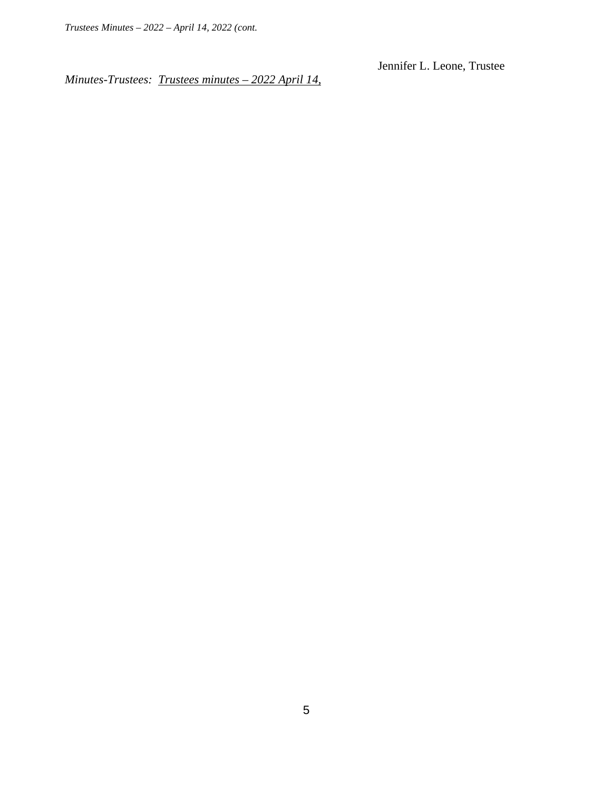Jennifer L. Leone, Trustee

*Minutes-Trustees: Trustees minutes – 2022 April 14,*